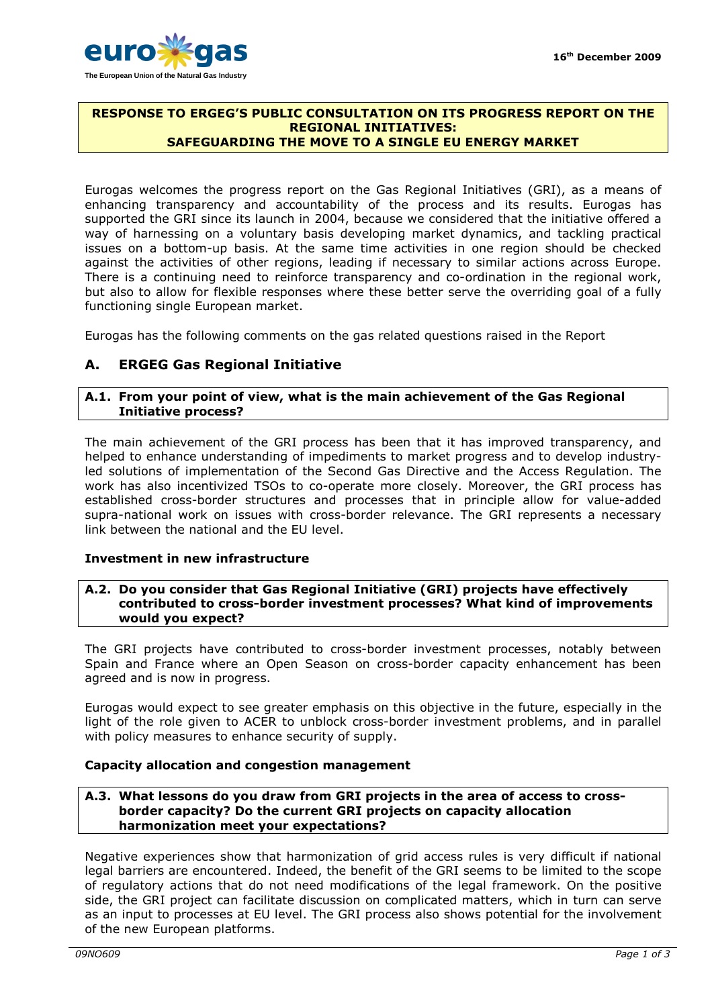

## **RESPONSE TO ERGEG'S PUBLIC CONSULTATION ON ITS PROGRESS REPORT ON THE REGIONAL INITIATIVES: SAFEGUARDING THE MOVE TO A SINGLE EU ENERGY MARKET**

Eurogas welcomes the progress report on the Gas Regional Initiatives (GRI), as a means of enhancing transparency and accountability of the process and its results. Eurogas has supported the GRI since its launch in 2004, because we considered that the initiative offered a way of harnessing on a voluntary basis developing market dynamics, and tackling practical issues on a bottom-up basis. At the same time activities in one region should be checked against the activities of other regions, leading if necessary to similar actions across Europe. There is a continuing need to reinforce transparency and co-ordination in the regional work, but also to allow for flexible responses where these better serve the overriding goal of a fully functioning single European market.

Eurogas has the following comments on the gas related questions raised in the Report

# **A. ERGEG Gas Regional Initiative**

## **A.1. From your point of view, what is the main achievement of the Gas Regional Initiative process?**

The main achievement of the GRI process has been that it has improved transparency, and helped to enhance understanding of impediments to market progress and to develop industryled solutions of implementation of the Second Gas Directive and the Access Regulation. The work has also incentivized TSOs to co-operate more closely. Moreover, the GRI process has established cross-border structures and processes that in principle allow for value-added supra-national work on issues with cross-border relevance. The GRI represents a necessary link between the national and the EU level.

## **Investment in new infrastructure**

## **A.2. Do you consider that Gas Regional Initiative (GRI) projects have effectively contributed to cross-border investment processes? What kind of improvements would you expect?**

The GRI projects have contributed to cross-border investment processes, notably between Spain and France where an Open Season on cross-border capacity enhancement has been agreed and is now in progress.

Eurogas would expect to see greater emphasis on this objective in the future, especially in the light of the role given to ACER to unblock cross-border investment problems, and in parallel with policy measures to enhance security of supply.

## **Capacity allocation and congestion management**

## **A.3. What lessons do you draw from GRI projects in the area of access to crossborder capacity? Do the current GRI projects on capacity allocation harmonization meet your expectations?**

Negative experiences show that harmonization of grid access rules is very difficult if national legal barriers are encountered. Indeed, the benefit of the GRI seems to be limited to the scope of regulatory actions that do not need modifications of the legal framework. On the positive side, the GRI project can facilitate discussion on complicated matters, which in turn can serve as an input to processes at EU level. The GRI process also shows potential for the involvement of the new European platforms.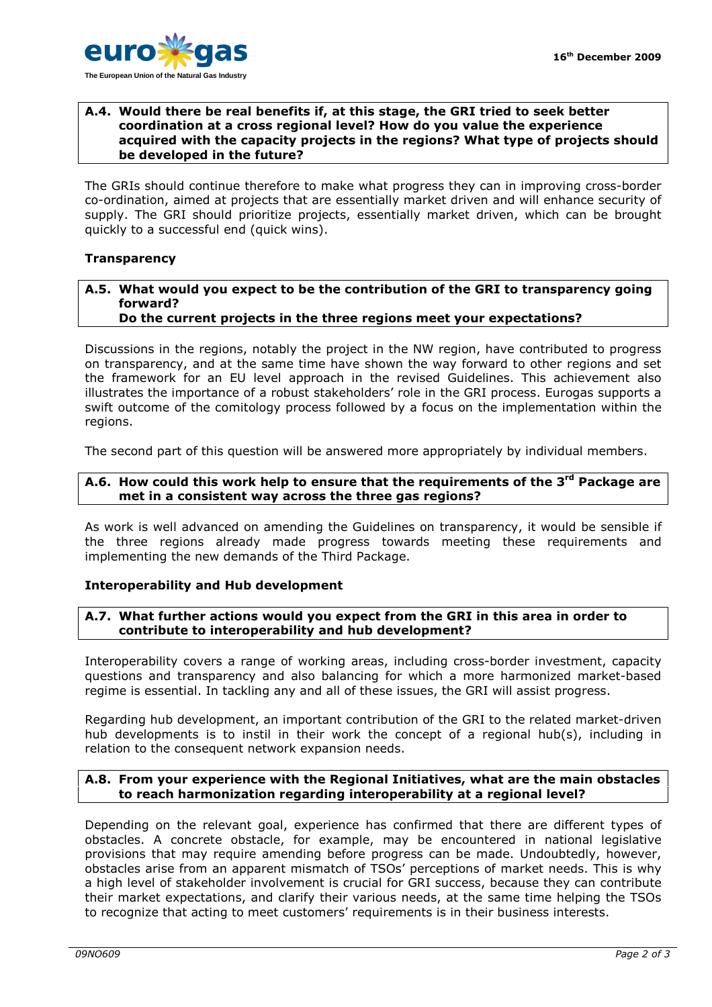

## **A.4. Would there be real benefits if, at this stage, the GRI tried to seek better coordination at a cross regional level? How do you value the experience acquired with the capacity projects in the regions? What type of projects should be developed in the future?**

The GRIs should continue therefore to make what progress they can in improving cross-border co-ordination, aimed at projects that are essentially market driven and will enhance security of supply. The GRI should prioritize projects, essentially market driven, which can be brought quickly to a successful end (quick wins).

## **Transparency**

#### **A.5. What would you expect to be the contribution of the GRI to transparency going forward? Do the current projects in the three regions meet your expectations?**

Discussions in the regions, notably the project in the NW region, have contributed to progress on transparency, and at the same time have shown the way forward to other regions and set the framework for an EU level approach in the revised Guidelines. This achievement also illustrates the importance of a robust stakeholders' role in the GRI process. Eurogas supports a swift outcome of the comitology process followed by a focus on the implementation within the regions.

The second part of this question will be answered more appropriately by individual members.

## **A.6. How could this work help to ensure that the requirements of the 3rd Package are met in a consistent way across the three gas regions?**

As work is well advanced on amending the Guidelines on transparency, it would be sensible if the three regions already made progress towards meeting these requirements and implementing the new demands of the Third Package.

## **Interoperability and Hub development**

## **A.7. What further actions would you expect from the GRI in this area in order to contribute to interoperability and hub development?**

Interoperability covers a range of working areas, including cross-border investment, capacity questions and transparency and also balancing for which a more harmonized market-based regime is essential. In tackling any and all of these issues, the GRI will assist progress.

Regarding hub development, an important contribution of the GRI to the related market-driven hub developments is to instil in their work the concept of a regional hub(s), including in relation to the consequent network expansion needs.

## **A.8. From your experience with the Regional Initiatives, what are the main obstacles to reach harmonization regarding interoperability at a regional level?**

Depending on the relevant goal, experience has confirmed that there are different types of obstacles. A concrete obstacle, for example, may be encountered in national legislative provisions that may require amending before progress can be made. Undoubtedly, however, obstacles arise from an apparent mismatch of TSOs' perceptions of market needs. This is why a high level of stakeholder involvement is crucial for GRI success, because they can contribute their market expectations, and clarify their various needs, at the same time helping the TSOs to recognize that acting to meet customers' requirements is in their business interests.